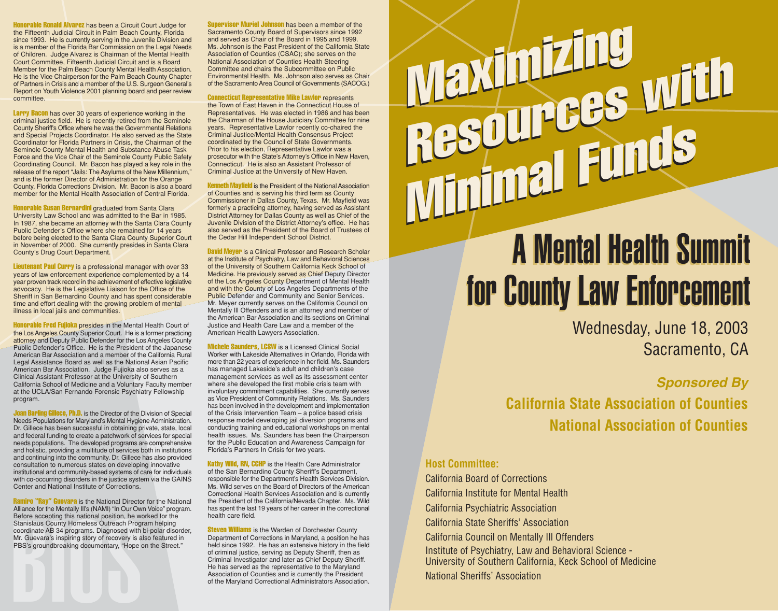Honorable Ronald Alvarez has been a Circuit Court Judge for the Fifteenth Judicial Circuit in Palm Beach County, Florida since 1993. He is currently serving in the Juvenile Division and is a member of the Florida Bar Commission on the Legal Needs of Children. Judge Alvarez is Chairman of the Mental Health Court Committee, Fifteenth Judicial Circuit and is a Board Member for the Palm Beach County Mental Health Association. He is the Vice Chairperson for the Palm Beach County Chapter of Partners in Crisis and a member of the U.S. Surgeon General's Report on Youth Violence 2001 planning board and peer review committee.

Larry Bacon has over 30 years of experience working in the criminal justice field. He is recently retired from the Seminole County Sheriff's Office where he was the Governmental Relations and Special Projects Coordinator. He also served as the State Coordinator for Florida Partners in Crisis, the Chairman of the Seminole County Mental Health and Substance Abuse Task Force and the Vice Chair of the Seminole County Public Safety Coordinating Council. Mr. Bacon has played a key role in the release of the report "Jails: The Asylums of the New Millennium," and is the former Director of Administration for the Orange County, Florida Corrections Division. Mr. Bacon is also a board member for the Mental Health Association of Central Florida.

**Honorable Susan Bernardini** graduated from Santa Clara University Law School and was admitted to the Bar in 1985. In 1987, she became an attorney with the Santa Clara County Public Defender's Office where she remained for 14 years before being elected to the Santa Clara County Superior Court in November of 2000. She currently presides in Santa Clara County's Drug Court Department.

Lieutenant Paul Curry is a professional manager with over 33 years of law enforcement experience complemented by a 14 year proven track record in the achievement of effective legislative advocacy. He is the Legislative Liaison for the Office of the Sheriff in San Bernardino County and has spent considerable time and effort dealing with the growing problem of mental illness in local jails and communities.

**Honorable Fred Fujioka** presides in the Mental Health Court of the Los Angeles County Superior Court. He is a former practicing attorney and Deputy Public Defender for the Los Angeles County Public Defender's Office. He is the President of the Japanese American Bar Association and a member of the California Rural Legal Assistance Board as well as the National Asian Pacific American Bar Association. Judge Fujioka also serves as a Clinical Assistant Professor at the University of Southern California School of Medicine and a Voluntary Faculty member at the UCLA/San Fernando Forensic Psychiatry Fellowship program.

**Joan Barling Gillece, Ph.D.** is the Director of the Division of Special Needs Populations for Maryland's Mental Hygiene Administration. Dr. Gillece has been successful in obtaining private, state, local and federal funding to create a patchwork of services for special needs populations. The developed programs are comprehensive and holistic, providing a multitude of services both in institutions and continuing into the community. Dr. Gillece has also provided consultation to numerous states on developing innovative institutional and community-based systems of care for individuals with co-occurring disorders in the justice system via the GAINS Center and National Institute of Corrections.

Stanislaus County Homeless Outreach Prog<br>coordinate AB 34 programs. Diagnosed with<br>Mr. Guevara's inspiring story of recovery is a<br>PBS's groundbreaking documentary, "Hope<br>BS's groundbreaking documentary, "Hope Ramiro "Ray" Guevara is the National Director for the National Alliance for the Mentally Ill's (NAMI) "In Our Own Voice" program. Before accepting this national position, he worked for the Stanislaus County Homeless Outreach Program helping coordinate AB 34 programs. Diagnosed with bi-polar disorder, Mr. Guevara's inspiring story of recovery is also featured in PBS's groundbreaking documentary, "Hope on the Street."

**Supervisor Muriel Johnson** has been a member of the Sacramento County Board of Supervisors since 1992 and served as Chair of the Board in 1995 and 1999. Ms. Johnson is the Past President of the California State Association of Counties (CSAC); she serves on the National Association of Counties Health Steering Committee and chairs the Subcommittee on Public Environmental Health. Ms. Johnson also serves as Chair of the Sacramento Area Council of Governments (SACOG.)

Connecticut Representative Mike Lawlor represents the Town of East Haven in the Connecticut House of Representatives. He was elected in 1986 and has been the Chairman of the House Judiciary Committee for nine years. Representative Lawlor recently co-chaired the Criminal Justice/Mental Health Consensus Project coordinated by the Council of State Governments. Prior to his election, Representative Lawlor was a prosecutor with the State's Attorney's Office in New Haven, Connecticut. He is also an Assistant Professor of Criminal Justice at the University of New Haven.

**Kenneth Mayfield** is the President of the National Association of Counties and is serving his third term as County Commissioner in Dallas County, Texas. Mr. Mayfield was formerly a practicing attorney, having served as Assistant District Attorney for Dallas County as well as Chief of the Juvenile Division of the District Attorney's office. He has also served as the President of the Board of Trustees of the Cedar Hill Independent School District.

David Meyer is a Clinical Professor and Research Scholar at the Institute of Psychiatry, Law and Behavioral Sciences of the University of Southern California Keck School of Medicine. He previously served as Chief Deputy Director of the Los Angeles County Department of Mental Health and with the County of Los Angeles Departments of the Public Defender and Community and Senior Services. Mr. Meyer currently serves on the California Council on Mentally Ill Offenders and is an attorney and member of the American Bar Association and its sections on Criminal Justice and Health Care Law and a member of the American Health Lawyers Association.

**Michele Saunders, LCSW** is a Licensed Clinical Social Worker with Lakeside Alternatives in Orlando, Florida with more than 22 years of experience in her field. Ms. Saunders has managed Lakeside's adult and children's case management services as well as its assessment center where she developed the first mobile crisis team with involuntary commitment capabilities. She currently serves as Vice President of Community Relations. Ms. Saunders has been involved in the development and implementation of the Crisis Intervention Team – a police based crisis response model developing jail diversion programs and conducting training and educational workshops on mental health issues. Ms. Saunders has been the Chairperson for the Public Education and Awareness Campaign for Florida's Partners In Crisis for two years.

Kathy Wild, RN, CCHP is the Health Care Administrator of the San Bernardino County Sheriff's Department, responsible for the Department's Health Services Division. Ms. Wild serves on the Board of Directors of the American Correctional Health Services Association and is currently the President of the California/Nevada Chapter. Ms. Wild has spent the last 19 years of her career in the correctional health care field.

**Steven Williams** is the Warden of Dorchester County Department of Corrections in Maryland, a position he has held since 1992. He has an extensive history in the field of criminal justice, serving as Deputy Sheriff, then as Criminal Investigator and later as Chief Deputy Sheriff. He has served as the representative to the Maryland Association of Counties and is currently the President of the Maryland Correctional Administrators Association.

# Maximizing Maximiens with Resuur Funds Maximizing Resources with

# A Mental Health Summit A Mental Health Summit for County Law Enforcement for County Law Enforcement

Wednesday, June 18, 2003 Sacramento, CA

### **Sponsored By**

**California State Association of Counties National Association of Counties**

#### **Host Committee:**

California Board of Corrections California Institute for Mental Health California Psychiatric Association California State Sheriffs' Association California Council on Mentally Ill Offenders Institute of Psychiatry, Law and Behavioral Science - University of Southern California, Keck School of Medicine National Sheriffs' Association